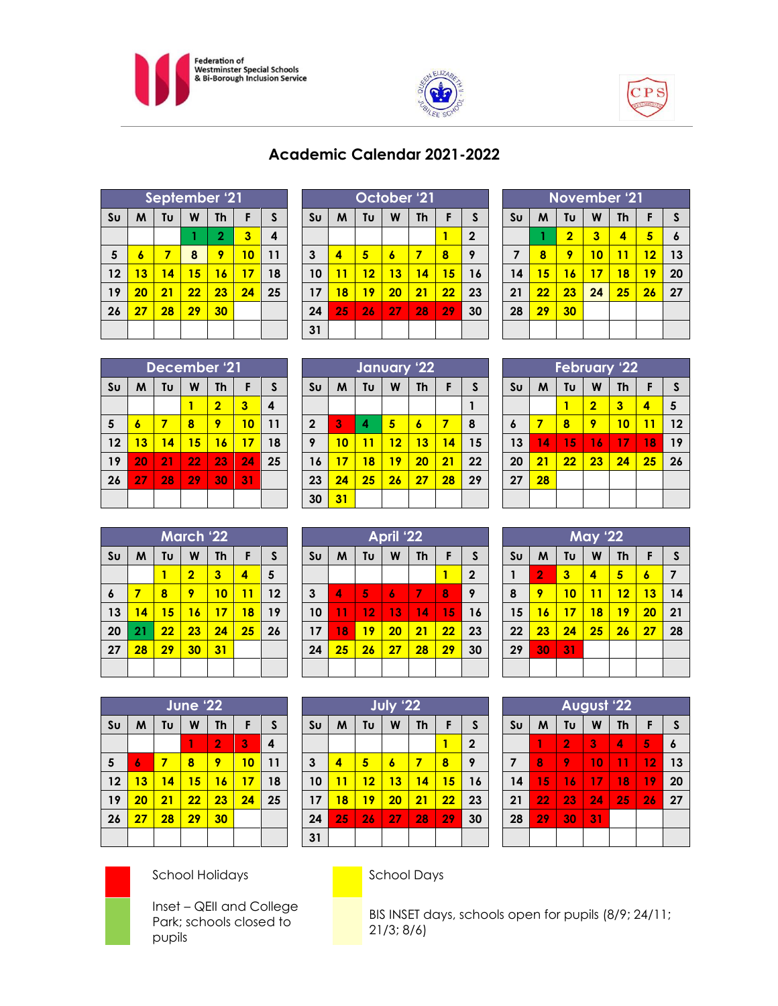





# **Academic Calendar 2021-2022**

|                | September '21 |    |    |                |    |              |  |  |
|----------------|---------------|----|----|----------------|----|--------------|--|--|
| S <sub>U</sub> | M             | Tυ | W  | <b>Th</b>      | F  | $\mathsf{s}$ |  |  |
|                |               |    |    | $\overline{2}$ | 3  | 4            |  |  |
| $5\phantom{1}$ | 6             | 7  | 8  | 9              | 10 | 11           |  |  |
| 12             | 13            | 14 | 15 | 16             | 17 | 18           |  |  |
| 19             | 20            | 21 | 22 | 23             | 24 | 25           |  |  |
| 26             | 27            | 28 | 29 | 30             |    |              |  |  |
|                |               |    |    |                |    |              |  |  |

|                | October <u>'21</u> |    |    |    |    |              |  |  |  |
|----------------|--------------------|----|----|----|----|--------------|--|--|--|
| S <sub>U</sub> | M                  | Tυ | W  | Th | F  | S            |  |  |  |
|                |                    |    |    |    | 1  | $\mathbf{2}$ |  |  |  |
| 3              | 4                  | 5  | 6  | 7  | 8  | 9            |  |  |  |
| 10             | 11                 | 12 | 13 | 14 | 15 | 16           |  |  |  |
| 17             | 18                 | 19 | 20 | 21 | 22 | 23           |  |  |  |
| 24             | 25                 | 26 | 27 | 28 | 29 | 30           |  |  |  |
| 31             |                    |    |    |    |    |              |  |  |  |

| November '21   |    |                |                         |           |    |                  |  |  |
|----------------|----|----------------|-------------------------|-----------|----|------------------|--|--|
| S <sub>U</sub> | M  | Tu             | W                       | <b>Th</b> | F  | S                |  |  |
|                |    | $\overline{2}$ | $\overline{\mathbf{3}}$ | 4         | 5  | $\boldsymbol{6}$ |  |  |
| $\overline{7}$ | 8  | 9              | 10                      | 11        | 12 | 13               |  |  |
| 14             | 15 | 16             | 17                      | 18        | 19 | 20               |  |  |
| 21             | 22 | 23             | 24                      | 25        | 26 | 27               |  |  |
| 28             | 29 | 30             |                         |           |    |                  |  |  |
|                |    |                |                         |           |    |                  |  |  |

| December '21   |    |    |    |                |    |    |  |
|----------------|----|----|----|----------------|----|----|--|
| S <sub>U</sub> | M  | Tυ | W  | <b>Th</b>      | F  | S  |  |
|                |    |    |    | $\overline{2}$ | 3  | 4  |  |
| 5              | 6  | 7  | 8  | 9              | 10 | 11 |  |
| 12             | 13 | 14 | 15 | 16             | 17 | 18 |  |
| 19             | 20 | 21 | 22 | 23             | 24 | 25 |  |
| 26             | 27 | 28 | 29 | 30             | 31 |    |  |
|                |    |    |    |                |    |    |  |

|                | January '22 |    |    |           |    |    |  |  |  |
|----------------|-------------|----|----|-----------|----|----|--|--|--|
| S <sub>U</sub> | M           | Tυ | W  | <b>Th</b> | F  | S  |  |  |  |
|                |             |    |    |           |    |    |  |  |  |
| $\mathbf 2$    | 3           | 4  | 5  | 6         | 7  | 8  |  |  |  |
| 9              | 10          | 11 | 12 | 13        | 14 | 15 |  |  |  |
| 16             | 17          | 18 | 19 | 20        | 21 | 22 |  |  |  |
| 23             | 24          | 25 | 26 | 27        | 28 | 29 |  |  |  |
| 30             | 31          |    |    |           |    |    |  |  |  |

| <b>February '22</b> |    |    |                         |           |    |    |  |  |
|---------------------|----|----|-------------------------|-----------|----|----|--|--|
| S <sub>U</sub>      | M  | Tυ | W                       | <b>Th</b> | F  | S  |  |  |
|                     |    |    | $\overline{\mathbf{2}}$ | 3         | 4  | 5  |  |  |
| 6                   | 7  | 8  | 9                       | 10        | 11 | 12 |  |  |
| 13                  | 14 | 15 | 16                      | 17        | 18 | 19 |  |  |
| 20                  | 21 | 22 | 23                      | 24        | 25 | 26 |  |  |
| 27                  | 28 |    |                         |           |    |    |  |  |
|                     |    |    |                         |           |    |    |  |  |

| March '22      |    |    |                         |           |    |    |  |
|----------------|----|----|-------------------------|-----------|----|----|--|
| S <sub>U</sub> | M  | Tυ | W                       | <b>Th</b> | F  | S  |  |
|                |    |    | $\overline{\mathbf{2}}$ | 3         | 4  | 5  |  |
| 6              | 7  | 8  | 9                       | 10        | 11 | 12 |  |
| 13             | 14 | 15 | 16                      | 17        | 18 | 19 |  |
| 20             | 21 | 22 | 23                      | 24        | 25 | 26 |  |
| 27             | 28 | 29 | 30                      | 31        |    |    |  |
|                |    |    |                         |           |    |    |  |

| April '22    |    |    |    |           |    |                |  |  |
|--------------|----|----|----|-----------|----|----------------|--|--|
| Su           | M  | Tυ | W  | <b>Th</b> | F  | S              |  |  |
|              |    |    |    |           | 1  | $\overline{2}$ |  |  |
| $\mathbf{3}$ | 4  | 5  | 6  | 7         | 8  | 9              |  |  |
| 10           | 11 | 12 | 13 | 14        | 15 | 16             |  |  |
| 17           | 18 | 19 | 20 | 21        | 22 | 23             |  |  |
| 24           | 25 | 26 | 27 | 28        | 29 | 30             |  |  |
|              |    |    |    |           |    |                |  |  |

|                        |    |    | <b>May '22</b> |    |    |    |
|------------------------|----|----|----------------|----|----|----|
| $\mathsf{S}\mathsf{u}$ | M  | Tυ | W              | Th | F  | S  |
| $\mathbf{1}$           | 2  | 3  | 4              | 5  | 6  | 7  |
| 8                      | 9  | 10 | 11             | 12 | 13 | 14 |
| 15                     | 16 | 17 | 18             | 19 | 20 | 21 |
| 22                     | 23 | 24 | 25             | 26 | 27 | 28 |
| 29                     | 30 | 31 |                |    |    |    |
|                        |    |    |                |    |    |    |

| June '22       |    |    |    |           |    |    |  |
|----------------|----|----|----|-----------|----|----|--|
| S <sub>U</sub> | M  | Tυ | W  | <b>Th</b> | F  | S  |  |
|                |    |    | 1  | 2         | 3  | 4  |  |
| 5              | 6  | 7  | 8  | 9         | 10 | 11 |  |
| 12             | 13 | 14 | 15 | 16        | 17 | 18 |  |
| 19             | 20 | 21 | 22 | 23        | 24 | 25 |  |
| 26             | 27 | 28 | 29 | 30        |    |    |  |
|                |    |    |    |           |    |    |  |

| July '22       |    |    |    |           |    |              |  |
|----------------|----|----|----|-----------|----|--------------|--|
| S <sub>U</sub> | M  | Tυ | W  | <b>Th</b> | F  | $\mathsf{s}$ |  |
|                |    |    |    |           | 1  | $\mathbf 2$  |  |
| $\mathbf{3}$   | 4  | 5  | 6  | 7         | 8  | 9            |  |
| 10             | 11 | 12 | 13 | 14        | 15 | 16           |  |
| 17             | 18 | 19 | 20 | 21        | 22 | 23           |  |
| 24             | 25 | 26 | 27 | 28        | 29 | 30           |  |
| 31             |    |    |    |           |    |              |  |

| <b>August '22</b> |    |                |    |           |    |    |  |  |
|-------------------|----|----------------|----|-----------|----|----|--|--|
| S <sub>U</sub>    | M  | Tυ             | W  | <b>Th</b> | F  | S  |  |  |
|                   | 1  | $\overline{2}$ | 3  | 4         | 5  | 6  |  |  |
| 7                 | 8  | 9              | 10 | 11        | 12 | 13 |  |  |
| 14                | 15 | 16             | 17 | 18        | 19 | 20 |  |  |
| 21                | 22 | 23             | 24 | 25        | 26 | 27 |  |  |
| 28                | 29 | 30             | 31 |           |    |    |  |  |
|                   |    |                |    |           |    |    |  |  |



Inset – QEII and College Park; schools closed to pupils

School Holidays **School Days** 

BIS INSET days, schools open for pupils (8/9; 24/11; 21/3; 8/6)